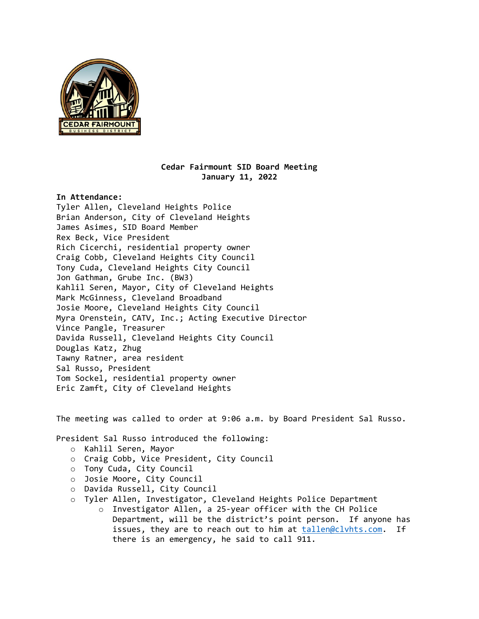

## **Cedar Fairmount SID Board Meeting January 11, 2022**

# **In Attendance:** Tyler Allen, Cleveland Heights Police Brian Anderson, City of Cleveland Heights James Asimes, SID Board Member Rex Beck, Vice President Rich Cicerchi, residential property owner Craig Cobb, Cleveland Heights City Council Tony Cuda, Cleveland Heights City Council Jon Gathman, Grube Inc. (BW3) Kahlil Seren, Mayor, City of Cleveland Heights Mark McGinness, Cleveland Broadband Josie Moore, Cleveland Heights City Council Myra Orenstein, CATV, Inc.; Acting Executive Director Vince Pangle, Treasurer Davida Russell, Cleveland Heights City Council Douglas Katz, Zhug

Tawny Ratner, area resident Sal Russo, President Tom Sockel, residential property owner Eric Zamft, City of Cleveland Heights

The meeting was called to order at 9:06 a.m. by Board President Sal Russo.

President Sal Russo introduced the following:

- o Kahlil Seren, Mayor
- o Craig Cobb, Vice President, City Council
- o Tony Cuda, City Council
- o Josie Moore, City Council
- o Davida Russell, City Council
- o Tyler Allen, Investigator, Cleveland Heights Police Department o Investigator Allen, a 25-year officer with the CH Police Department, will be the district's point person. If anyone has issues, they are to reach out to him at [tallen@clvhts.com.](mailto:tallen@clvhts.com) If there is an emergency, he said to call 911.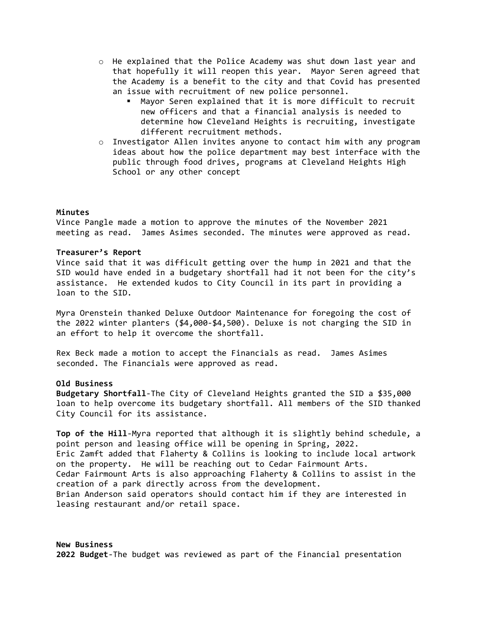- o He explained that the Police Academy was shut down last year and that hopefully it will reopen this year. Mayor Seren agreed that the Academy is a benefit to the city and that Covid has presented an issue with recruitment of new police personnel.
	- Mayor Seren explained that it is more difficult to recruit new officers and that a financial analysis is needed to determine how Cleveland Heights is recruiting, investigate different recruitment methods.
- $\circ$  Investigator Allen invites anyone to contact him with any program ideas about how the police department may best interface with the public through food drives, programs at Cleveland Heights High School or any other concept

#### **Minutes**

Vince Pangle made a motion to approve the minutes of the November 2021 meeting as read. James Asimes seconded. The minutes were approved as read.

#### **Treasurer's Report**

Vince said that it was difficult getting over the hump in 2021 and that the SID would have ended in a budgetary shortfall had it not been for the city's assistance. He extended kudos to City Council in its part in providing a loan to the SID.

Myra Orenstein thanked Deluxe Outdoor Maintenance for foregoing the cost of the 2022 winter planters (\$4,000-\$4,500). Deluxe is not charging the SID in an effort to help it overcome the shortfall.

Rex Beck made a motion to accept the Financials as read. James Asimes seconded. The Financials were approved as read.

### **Old Business**

**Budgetary Shortfall**-The City of Cleveland Heights granted the SID a \$35,000 loan to help overcome its budgetary shortfall. All members of the SID thanked City Council for its assistance.

**Top of the Hill**-Myra reported that although it is slightly behind schedule, a point person and leasing office will be opening in Spring, 2022. Eric Zamft added that Flaherty & Collins is looking to include local artwork on the property. He will be reaching out to Cedar Fairmount Arts. Cedar Fairmount Arts is also approaching Flaherty & Collins to assist in the creation of a park directly across from the development. Brian Anderson said operators should contact him if they are interested in leasing restaurant and/or retail space.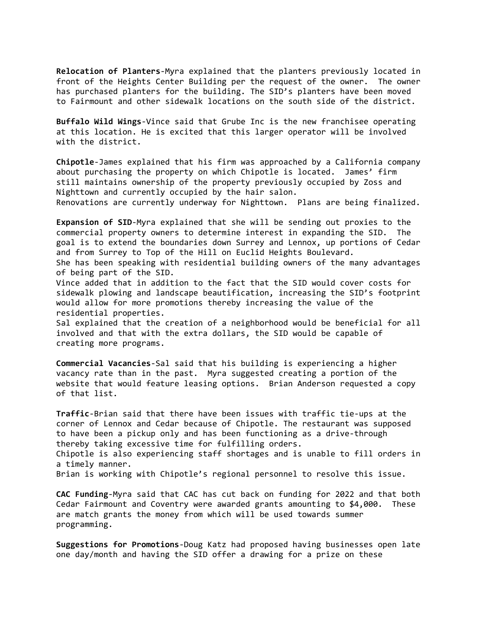**Relocation of Planters**-Myra explained that the planters previously located in front of the Heights Center Building per the request of the owner. The owner has purchased planters for the building. The SID's planters have been moved to Fairmount and other sidewalk locations on the south side of the district.

**Buffalo Wild Wings**-Vince said that Grube Inc is the new franchisee operating at this location. He is excited that this larger operator will be involved with the district.

**Chipotle**-James explained that his firm was approached by a California company about purchasing the property on which Chipotle is located. James' firm still maintains ownership of the property previously occupied by Zoss and Nighttown and currently occupied by the hair salon. Renovations are currently underway for Nighttown. Plans are being finalized.

**Expansion of SID**-Myra explained that she will be sending out proxies to the commercial property owners to determine interest in expanding the SID. The goal is to extend the boundaries down Surrey and Lennox, up portions of Cedar and from Surrey to Top of the Hill on Euclid Heights Boulevard. She has been speaking with residential building owners of the many advantages of being part of the SID.

Vince added that in addition to the fact that the SID would cover costs for sidewalk plowing and landscape beautification, increasing the SID's footprint would allow for more promotions thereby increasing the value of the residential properties.

Sal explained that the creation of a neighborhood would be beneficial for all involved and that with the extra dollars, the SID would be capable of creating more programs.

**Commercial Vacancies**-Sal said that his building is experiencing a higher vacancy rate than in the past. Myra suggested creating a portion of the website that would feature leasing options. Brian Anderson requested a copy of that list.

**Traffic**-Brian said that there have been issues with traffic tie-ups at the corner of Lennox and Cedar because of Chipotle. The restaurant was supposed to have been a pickup only and has been functioning as a drive-through thereby taking excessive time for fulfilling orders. Chipotle is also experiencing staff shortages and is unable to fill orders in a timely manner. Brian is working with Chipotle's regional personnel to resolve this issue.

**CAC Funding**-Myra said that CAC has cut back on funding for 2022 and that both Cedar Fairmount and Coventry were awarded grants amounting to \$4,000. These are match grants the money from which will be used towards summer programming.

**Suggestions for Promotions**-Doug Katz had proposed having businesses open late one day/month and having the SID offer a drawing for a prize on these